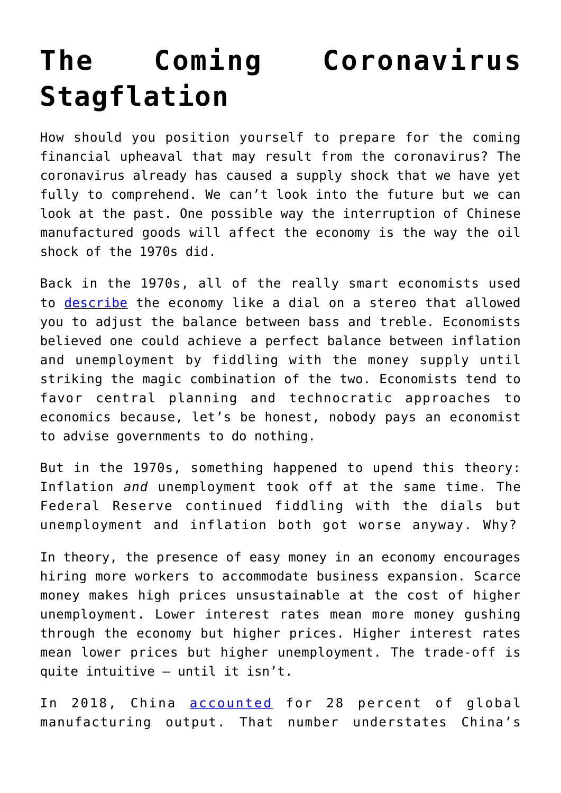## **[The Coming Coronavirus](https://intellectualtakeout.org/2020/03/the-coming-coronavirus-stagflation/) [Stagflation](https://intellectualtakeout.org/2020/03/the-coming-coronavirus-stagflation/)**

How should you position yourself to prepare for the coming financial upheaval that may result from the coronavirus? The coronavirus already has caused a supply shock that we have yet fully to comprehend. We can't look into the future but we can look at the past. One possible way the interruption of Chinese manufactured goods will affect the economy is the way the oil shock of the 1970s did.

Back in the 1970s, all of the really smart economists used to [describe](https://www.investopedia.com/terms/p/phillipscurve.asp) the economy like a dial on a stereo that allowed you to adjust the balance between bass and treble. Economists believed one could achieve a perfect balance between inflation and unemployment by fiddling with the money supply until striking the magic combination of the two. Economists tend to favor central planning and technocratic approaches to economics because, let's be honest, nobody pays an economist to advise governments to do nothing.

But in the 1970s, something happened to upend this theory: Inflation *and* unemployment took off at the same time. The Federal Reserve continued fiddling with the dials but unemployment and inflation both got worse anyway. Why?

In theory, the presence of easy money in an economy encourages hiring more workers to accommodate business expansion. Scarce money makes high prices unsustainable at the cost of higher unemployment. Lower interest rates mean more money gushing through the economy but higher prices. Higher interest rates mean lower prices but higher unemployment. The trade-off is quite intuitive – until it isn't.

In 2018, China [accounted](https://www.statista.com/chart/20858/top-10-countries-by-share-of-global-manufacturing-output/) for 28 percent of global manufacturing output. That number understates China's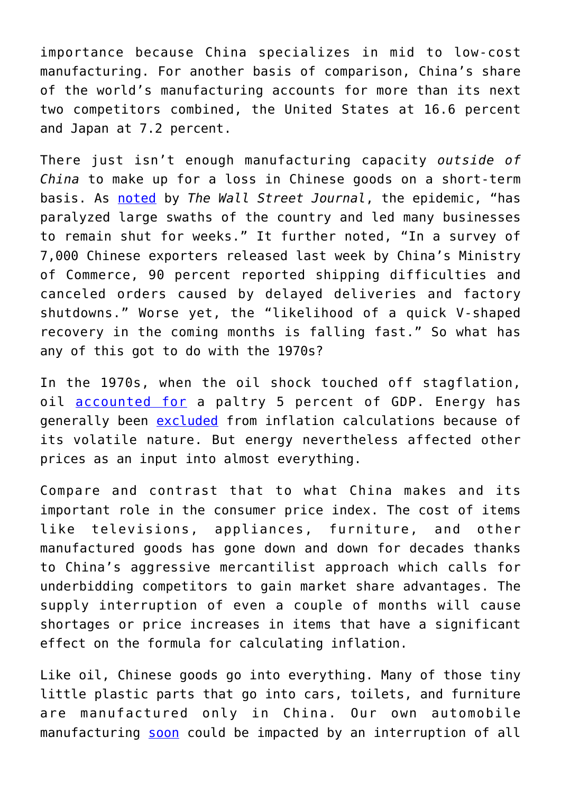importance because China specializes in mid to low-cost manufacturing. For another basis of comparison, China's share of the world's manufacturing accounts for more than its next two competitors combined, the United States at 16.6 percent and Japan at 7.2 percent.

There just isn't enough manufacturing capacity *outside of China* to make up for a loss in Chinese goods on a short-term basis. As [noted](https://www.wsj.com/articles/coronavirus-craters-china-manufacturing-index-11583133941) by *The Wall Street Journal*, the epidemic, "has paralyzed large swaths of the country and led many businesses to remain shut for weeks." It further noted, "In a survey of 7,000 Chinese exporters released last week by China's Ministry of Commerce, 90 percent reported shipping difficulties and canceled orders caused by delayed deliveries and factory shutdowns." Worse yet, the "likelihood of a quick V-shaped recovery in the coming months is falling fast." So what has any of this got to do with the 1970s?

In the 1970s, when the oil shock touched off stagflation, oil [accounted for](https://www.instituteforenergyresearch.org/uncategorized/a-primer-on-energy-and-the-economy-energys-large-share-of-the-economy-requires-caution-in-determining-policies-that-affect-it/) a paltry 5 percent of GDP. Energy has generally been [excluded](https://fred.stlouisfed.org/series/CPILFESL) from inflation calculations because of its volatile nature. But energy nevertheless affected other prices as an input into almost everything.

Compare and contrast that to what China makes and its important role in the consumer price index. The cost of items like televisions, appliances, furniture, and other manufactured goods has gone down and down for decades thanks to China's aggressive mercantilist approach which calls for underbidding competitors to gain market share advantages. The supply interruption of even a couple of months will cause shortages or price increases in items that have a significant effect on the formula for calculating inflation.

Like oil, Chinese goods go into everything. Many of those tiny little plastic parts that go into cars, toilets, and furniture are manufactured only in China. Our own automobile manufacturing [soon](https://fortune.com/2020/02/04/china-imports-shortage-cars-iphone-toys/) could be impacted by an interruption of all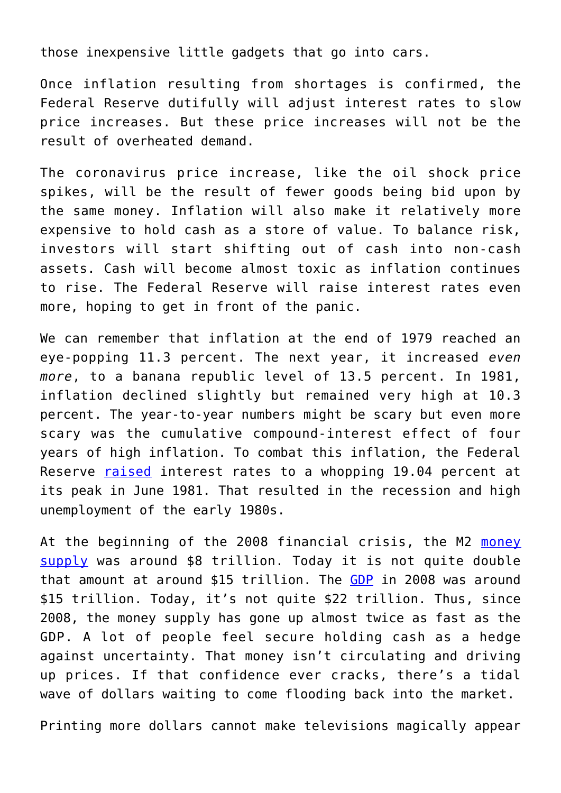those inexpensive little gadgets that go into cars.

Once inflation resulting from shortages is confirmed, the Federal Reserve dutifully will adjust interest rates to slow price increases. But these price increases will not be the result of overheated demand.

The coronavirus price increase, like the oil shock price spikes, will be the result of fewer goods being bid upon by the same money. Inflation will also make it relatively more expensive to hold cash as a store of value. To balance risk, investors will start shifting out of cash into non-cash assets. Cash will become almost toxic as inflation continues to rise. The Federal Reserve will raise interest rates even more, hoping to get in front of the panic.

We can remember that inflation at the end of 1979 reached an eye-popping 11.3 percent. The next year, it increased *even more*, to a banana republic level of 13.5 percent. In 1981, inflation declined slightly but remained very high at 10.3 percent. The year-to-year numbers might be scary but even more scary was the cumulative compound-interest effect of four years of high inflation. To combat this inflation, the Federal Reserve [raised](https://fred.stlouisfed.org/series/FEDFUNDS) interest rates to a whopping 19.04 percent at its peak in June 1981. That resulted in the recession and high unemployment of the early 1980s.

At the beginning of the 2008 financial crisis, the M2 [money](https://fred.stlouisfed.org/series/M2) [supply](https://fred.stlouisfed.org/series/M2) was around \$8 trillion. Today it is not quite double that amount at around \$15 trillion. The [GDP](https://fred.stlouisfed.org/series/GDP) in 2008 was around \$15 trillion. Today, it's not quite \$22 trillion. Thus, since 2008, the money supply has gone up almost twice as fast as the GDP. A lot of people feel secure holding cash as a hedge against uncertainty. That money isn't circulating and driving up prices. If that confidence ever cracks, there's a tidal wave of dollars waiting to come flooding back into the market.

Printing more dollars cannot make televisions magically appear